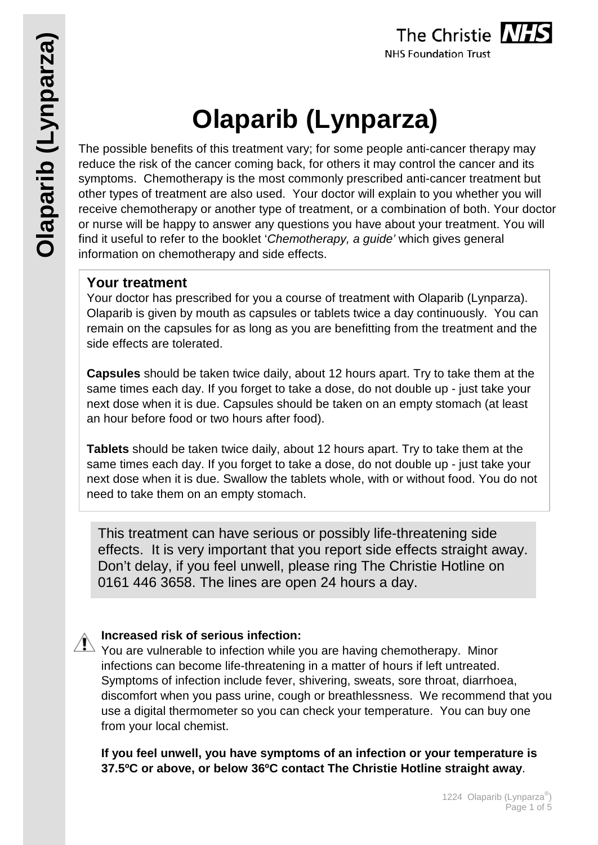

# **Olaparib (Lynparza)**

The possible benefits of this treatment vary; for some people anti-cancer therapy may reduce the risk of the cancer coming back, for others it may control the cancer and its symptoms. Chemotherapy is the most commonly prescribed anti-cancer treatment but other types of treatment are also used. Your doctor will explain to you whether you will receive chemotherapy or another type of treatment, or a combination of both. Your doctor or nurse will be happy to answer any questions you have about your treatment. You will find it useful to refer to the booklet '*Chemotherapy, a guide'* which gives general information on chemotherapy and side effects.

## **Your treatment**

Your doctor has prescribed for you a course of treatment with Olaparib (Lynparza). Olaparib is given by mouth as capsules or tablets twice a day continuously. You can remain on the capsules for as long as you are benefitting from the treatment and the side effects are tolerated.

**Capsules** should be taken twice daily, about 12 hours apart. Try to take them at the same times each day. If you forget to take a dose, do not double up - just take your next dose when it is due. Capsules should be taken on an empty stomach (at least an hour before food or two hours after food).

**Tablets** should be taken twice daily, about 12 hours apart. Try to take them at the same times each day. If you forget to take a dose, do not double up - just take your next dose when it is due. Swallow the tablets whole, with or without food. You do not need to take them on an empty stomach.

This treatment can have serious or possibly life-threatening side effects. It is very important that you report side effects straight away. Don't delay, if you feel unwell, please ring The Christie Hotline on 0161 446 3658. The lines are open 24 hours a day.

## **Increased risk of serious infection:**

 $\sqrt{1}$  You are vulnerable to infection while you are having chemotherapy. Minor infections can become life-threatening in a matter of hours if left untreated. Symptoms of infection include fever, shivering, sweats, sore throat, diarrhoea, discomfort when you pass urine, cough or breathlessness. We recommend that you use a digital thermometer so you can check your temperature. You can buy one from your local chemist.

**If you feel unwell, you have symptoms of an infection or your temperature is 37.5ºC or above, or below 36ºC contact The Christie Hotline straight away**.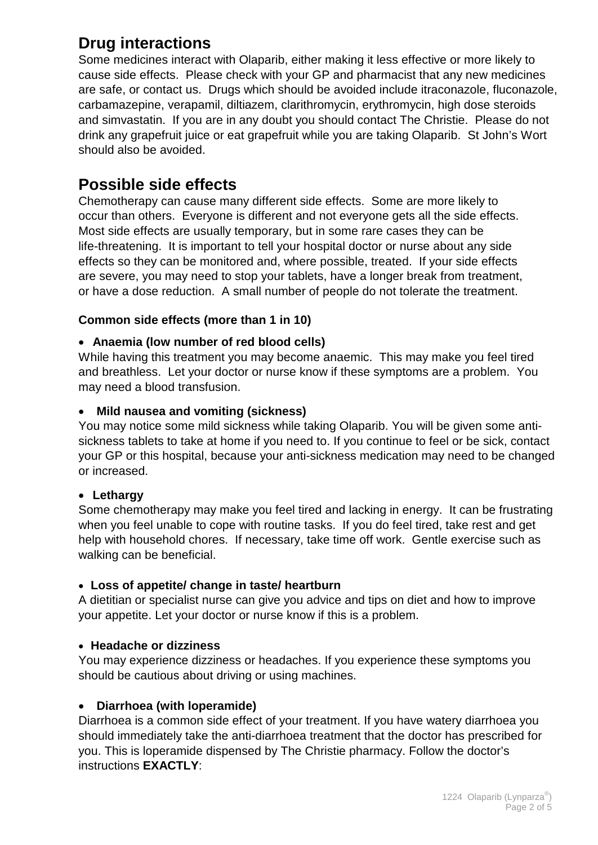# **Drug interactions**

Some medicines interact with Olaparib, either making it less effective or more likely to cause side effects. Please check with your GP and pharmacist that any new medicines are safe, or contact us. Drugs which should be avoided include itraconazole, fluconazole, carbamazepine, verapamil, diltiazem, clarithromycin, erythromycin, high dose steroids and simvastatin. If you are in any doubt you should contact The Christie. Please do not drink any grapefruit juice or eat grapefruit while you are taking Olaparib. St John's Wort should also be avoided.

## **Possible side effects**

Chemotherapy can cause many different side effects. Some are more likely to occur than others. Everyone is different and not everyone gets all the side effects. Most side effects are usually temporary, but in some rare cases they can be life-threatening. It is important to tell your hospital doctor or nurse about any side effects so they can be monitored and, where possible, treated. If your side effects are severe, you may need to stop your tablets, have a longer break from treatment, or have a dose reduction. A small number of people do not tolerate the treatment.

#### **Common side effects (more than 1 in 10)**

#### • **Anaemia (low number of red blood cells)**

While having this treatment you may become anaemic. This may make you feel tired and breathless. Let your doctor or nurse know if these symptoms are a problem. You may need a blood transfusion.

#### • **Mild nausea and vomiting (sickness)**

You may notice some mild sickness while taking Olaparib. You will be given some antisickness tablets to take at home if you need to. If you continue to feel or be sick, contact your GP or this hospital, because your anti-sickness medication may need to be changed or increased.

#### • **Lethargy**

Some chemotherapy may make you feel tired and lacking in energy. It can be frustrating when you feel unable to cope with routine tasks. If you do feel tired, take rest and get help with household chores. If necessary, take time off work. Gentle exercise such as walking can be beneficial.

#### • **Loss of appetite/ change in taste/ heartburn**

A dietitian or specialist nurse can give you advice and tips on diet and how to improve your appetite. Let your doctor or nurse know if this is a problem.

#### • **Headache or dizziness**

You may experience dizziness or headaches. If you experience these symptoms you should be cautious about driving or using machines.

#### • **Diarrhoea (with loperamide)**

Diarrhoea is a common side effect of your treatment. If you have watery diarrhoea you should immediately take the anti-diarrhoea treatment that the doctor has prescribed for you. This is loperamide dispensed by The Christie pharmacy. Follow the doctor's instructions **EXACTLY**: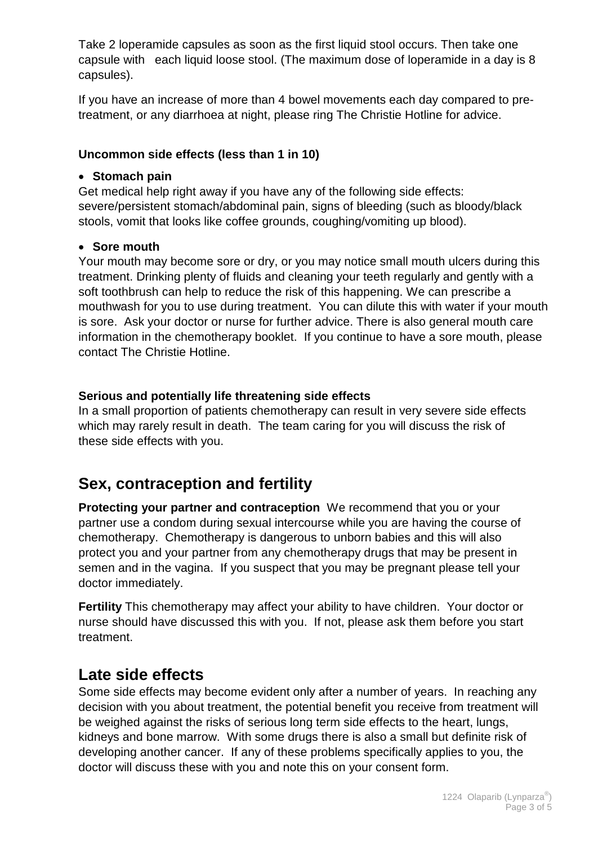Take 2 loperamide capsules as soon as the first liquid stool occurs. Then take one capsule with each liquid loose stool. (The maximum dose of loperamide in a day is 8 capsules).

If you have an increase of more than 4 bowel movements each day compared to pretreatment, or any diarrhoea at night, please ring The Christie Hotline for advice.

#### **Uncommon side effects (less than 1 in 10)**

#### • **Stomach pain**

Get medical help right away if you have any of the following side effects: severe/persistent stomach/abdominal pain, signs of bleeding (such as bloody/black stools, vomit that looks like coffee grounds, coughing/vomiting up blood).

#### • **Sore mouth**

Your mouth may become sore or dry, or you may notice small mouth ulcers during this treatment. Drinking plenty of fluids and cleaning your teeth regularly and gently with a soft toothbrush can help to reduce the risk of this happening. We can prescribe a mouthwash for you to use during treatment. You can dilute this with water if your mouth is sore. Ask your doctor or nurse for further advice. There is also general mouth care information in the chemotherapy booklet. If you continue to have a sore mouth, please contact The Christie Hotline.

#### **Serious and potentially life threatening side effects**

In a small proportion of patients chemotherapy can result in very severe side effects which may rarely result in death. The team caring for you will discuss the risk of these side effects with you.

# **Sex, contraception and fertility**

**Protecting your partner and contraception** We recommend that you or your partner use a condom during sexual intercourse while you are having the course of chemotherapy. Chemotherapy is dangerous to unborn babies and this will also protect you and your partner from any chemotherapy drugs that may be present in semen and in the vagina. If you suspect that you may be pregnant please tell your doctor immediately.

**Fertility** This chemotherapy may affect your ability to have children. Your doctor or nurse should have discussed this with you. If not, please ask them before you start treatment.

## **Late side effects**

Some side effects may become evident only after a number of years. In reaching any decision with you about treatment, the potential benefit you receive from treatment will be weighed against the risks of serious long term side effects to the heart, lungs, kidneys and bone marrow. With some drugs there is also a small but definite risk of developing another cancer. If any of these problems specifically applies to you, the doctor will discuss these with you and note this on your consent form.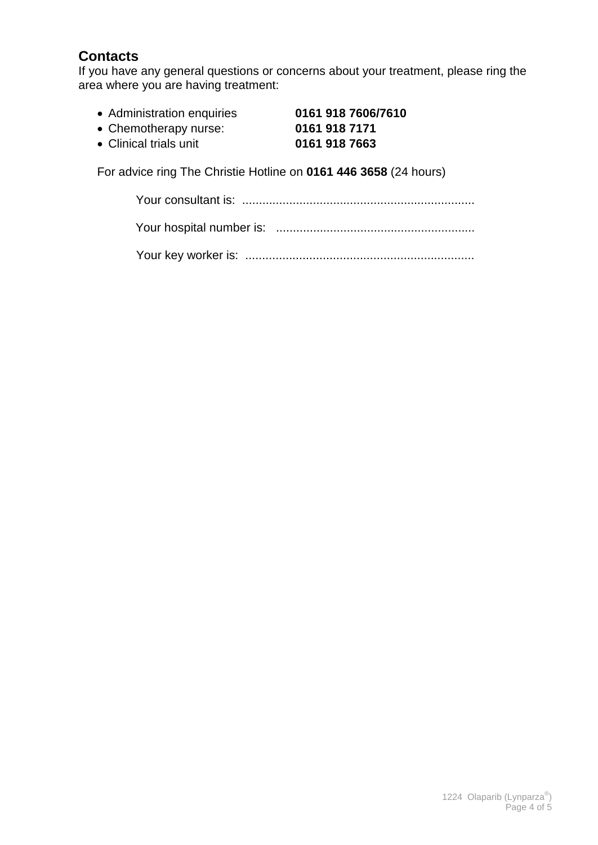## **Contacts**

If you have any general questions or concerns about your treatment, please ring the area where you are having treatment:

• Administration enquiries **0161 918 7606/7610** • Chemotherapy nurse: **0161 918 7171**

• Clinical trials unit **0161 918 7663**

For advice ring The Christie Hotline on **0161 446 3658** (24 hours)